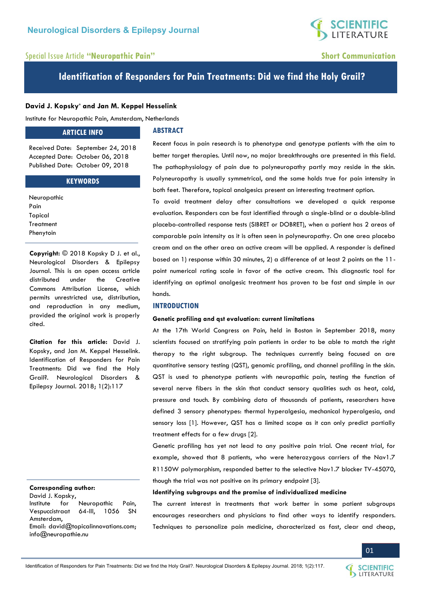# **SCIENTIFIC**<br>LITERATURE

# Special Issue Article **"Neuropathic Pain" Short Communication**

# **Identification of Responders for Pain Treatments: Did we find the Holy Grail?**

# **David J. Kopsky\* and Jan M. Keppel Hesselink**

Institute for Neuropathic Pain, Amsterdam, Netherlands

### **ARTICLE INFO**

**ABSTRACT** 

Received Date: September 24, 2018 Accepted Date: October 06, 2018 Published Date: October 09, 2018

# **KEYWORDS**

| Neuropathic |  |
|-------------|--|
| Pain        |  |
| Topical     |  |
| Treatment   |  |
| Phenytoin   |  |

**Copyright:** © 2018 Kopsky D J. et al., Neurological Disorders & Epilepsy Journal. This is an open access article distributed under the Creative Commons Attribution License, which permits unrestricted use, distribution, and reproduction in any medium, provided the original work is properly cited.

**Citation for this article:** David J. Kopsky, and Jan M. Keppel Hesselink. Identification of Responders for Pain Treatments: Did we find the Holy Grail?. Neurological Disorders & Epilepsy Journal. 2018; 1(2):117

#### **Corresponding author:**

David J. Kopsky, Institute for Neuropathic Pain, Vespuccistraat 64-III, 1056 SN Amsterdam, Email: [david@topicalinnovations.com;](mailto:david@topicalinnovations.com) [info@neuropathie.nu](mailto:info@neuropathie.nu) 

Recent focus in pain research is to phenotype and genotype patients with the aim to better target therapies. Until now, no major breakthroughs are presented in this field. The pathophysiology of pain due to polyneuropathy partly may reside in the skin. Polyneuropathy is usually symmetrical, and the same holds true for pain intensity in both feet. Therefore, topical analgesics present an interesting treatment option.

To avoid treatment delay after consultations we developed a quick response evaluation. Responders can be fast identified through a single-blind or a double-blind placebo-controlled response tests (SIBRET or DOBRET), when a patient has 2 areas of comparable pain intensity as it is often seen in polyneuropathy. On one area placebo cream and on the other area an active cream will be applied. A responder is defined based on 1) response within 30 minutes, 2) a difference of at least 2 points on the 11 point numerical rating scale in favor of the active cream. This diagnostic tool for identifying an optimal analgesic treatment has proven to be fast and simple in our hands.

# **INTRODUCTION**

#### **Genetic profiling and qst evaluation: current limitations**

At the 17th World Congress on Pain, held in Boston in September 2018, many scientists focused on stratifying pain patients in order to be able to match the right therapy to the right subgroup. The techniques currently being focused on are quantitative sensory testing (QST), genomic profiling, and channel profiling in the skin. QST is used to phenotype patients with neuropathic pain, testing the function of several nerve fibers in the skin that conduct sensory qualities such as heat, cold, pressure and touch. By combining data of thousands of patients, researchers have defined 3 sensory phenotypes: thermal hyperalgesia, mechanical hyperalgesia, and sensory loss [1]. However, QST has a limited scope as it can only predict partially treatment effects for a few drugs [2].

Genetic profiling has yet not lead to any positive pain trial. One recent trial, for example, showed that 8 patients, who were heterozygous carriers of the Nav1.7 R1150W polymorphism, responded better to the selective Nav1.7 blocker TV-45070, though the trial was not positive on its primary endpoint [3].

#### **Identifying subgroups and the promise of individualized medicine**

The current interest in treatments that work better in some patient subgroups encourages researchers and physicians to find other ways to identify responders. Techniques to personalize pain medicine, characterized as fast, clear and cheap,

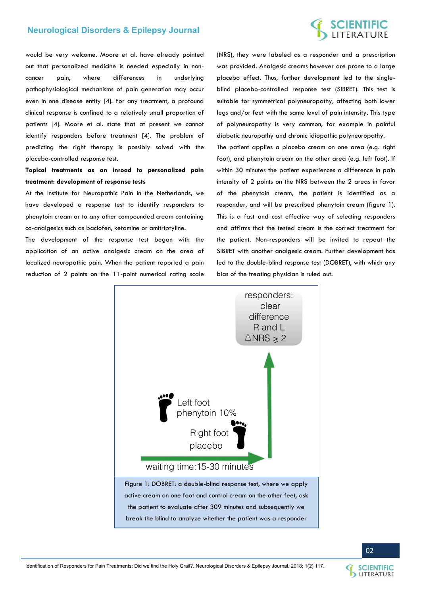# **Neurological Disorders & Epilepsy Journal**

# **SCIENTIFIC**<br>LITERATURE

would be very welcome. Moore et al. have already pointed out that personalized medicine is needed especially in noncancer pain, where differences in underlying pathophysiological mechanisms of pain generation may occur even in one disease entity [4]. For any treatment, a profound clinical response is confined to a relatively small proportion of patients [4]. Moore et al. state that at present we cannot identify responders before treatment [4]. The problem of predicting the right therapy is possibly solved with the placebo-controlled response test.

**Topical treatments as an inroad to personalized pain treatment: development of response tests** 

At the Institute for Neuropathic Pain in the Netherlands, we have developed a response test to identify responders to phenytoin cream or to any other compounded cream containing co-analgesics such as baclofen, ketamine or amitriptyline.

The development of the response test began with the application of an active analgesic cream on the area of localized neuropathic pain. When the patient reported a pain reduction of 2 points on the 11-point numerical rating scale (NRS), they were labeled as a responder and a prescription was provided. Analgesic creams however are prone to a large placebo effect. Thus, further development led to the singleblind placebo-controlled response test (SIBRET). This test is suitable for symmetrical polyneuropathy, affecting both lower legs and/or feet with the same level of pain intensity. This type of polyneuropathy is very common, for example in painful diabetic neuropathy and chronic idiopathic polyneuropathy.

The patient applies a placebo cream on one area (e.g. right foot), and phenytoin cream on the other area (e.g. left foot). If within 30 minutes the patient experiences a difference in pain intensity of 2 points on the NRS between the 2 areas in favor of the phenytoin cream, the patient is identified as a responder, and will be prescribed phenytoin cream (figure 1). This is a fast and cost effective way of selecting responders and affirms that the tested cream is the correct treatment for the patient. Non-responders will be invited to repeat the SIBRET with another analgesic cream. Further development has led to the double-blind response test (DOBRET), with which any bias of the treating physician is ruled out.





02